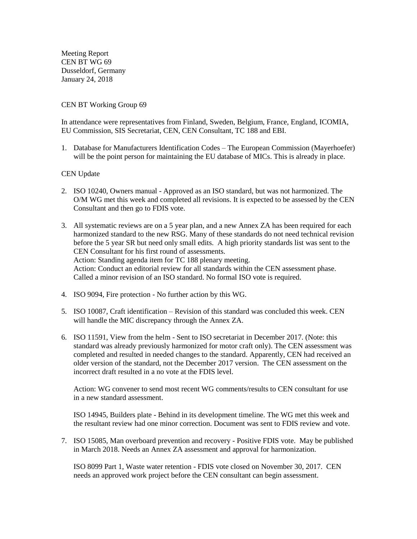Meeting Report CEN BT WG 69 Dusseldorf, Germany January 24, 2018

## CEN BT Working Group 69

In attendance were representatives from Finland, Sweden, Belgium, France, England, ICOMIA, EU Commission, SIS Secretariat, CEN, CEN Consultant, TC 188 and EBI.

1. Database for Manufacturers Identification Codes – The European Commission (Mayerhoefer) will be the point person for maintaining the EU database of MICs. This is already in place.

## CEN Update

- 2. ISO 10240, Owners manual Approved as an ISO standard, but was not harmonized. The O/M WG met this week and completed all revisions. It is expected to be assessed by the CEN Consultant and then go to FDIS vote.
- 3. All systematic reviews are on a 5 year plan, and a new Annex ZA has been required for each harmonized standard to the new RSG. Many of these standards do not need technical revision before the 5 year SR but need only small edits. A high priority standards list was sent to the CEN Consultant for his first round of assessments. Action: Standing agenda item for TC 188 plenary meeting. Action: Conduct an editorial review for all standards within the CEN assessment phase. Called a minor revision of an ISO standard. No formal ISO vote is required.
- 4. ISO 9094, Fire protection No further action by this WG.
- 5. ISO 10087, Craft identification Revision of this standard was concluded this week. CEN will handle the MIC discrepancy through the Annex ZA.
- 6. ISO 11591, View from the helm Sent to ISO secretariat in December 2017. (Note: this standard was already previously harmonized for motor craft only). The CEN assessment was completed and resulted in needed changes to the standard. Apparently, CEN had received an older version of the standard, not the December 2017 version. The CEN assessment on the incorrect draft resulted in a no vote at the FDIS level.

Action: WG convener to send most recent WG comments/results to CEN consultant for use in a new standard assessment.

ISO 14945, Builders plate - Behind in its development timeline. The WG met this week and the resultant review had one minor correction. Document was sent to FDIS review and vote.

7. ISO 15085, Man overboard prevention and recovery - Positive FDIS vote. May be published in March 2018. Needs an Annex ZA assessment and approval for harmonization.

ISO 8099 Part 1, Waste water retention - FDIS vote closed on November 30, 2017. CEN needs an approved work project before the CEN consultant can begin assessment.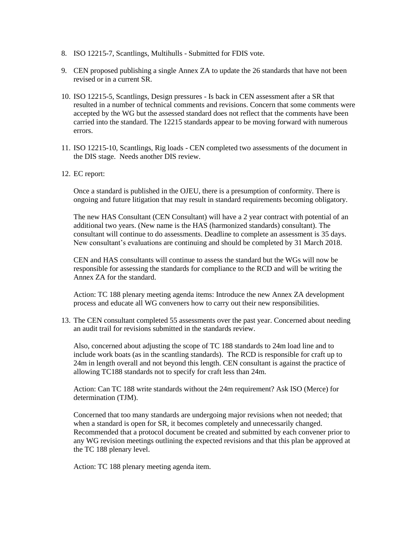- 8. ISO 12215-7, Scantlings, Multihulls Submitted for FDIS vote.
- 9. CEN proposed publishing a single Annex ZA to update the 26 standards that have not been revised or in a current SR.
- 10. ISO 12215-5, Scantlings, Design pressures Is back in CEN assessment after a SR that resulted in a number of technical comments and revisions. Concern that some comments were accepted by the WG but the assessed standard does not reflect that the comments have been carried into the standard. The 12215 standards appear to be moving forward with numerous errors.
- 11. ISO 12215-10, Scantlings, Rig loads CEN completed two assessments of the document in the DIS stage. Needs another DIS review.
- 12. EC report:

Once a standard is published in the OJEU, there is a presumption of conformity. There is ongoing and future litigation that may result in standard requirements becoming obligatory.

The new HAS Consultant (CEN Consultant) will have a 2 year contract with potential of an additional two years. (New name is the HAS (harmonized standards) consultant). The consultant will continue to do assessments. Deadline to complete an assessment is 35 days. New consultant's evaluations are continuing and should be completed by 31 March 2018.

CEN and HAS consultants will continue to assess the standard but the WGs will now be responsible for assessing the standards for compliance to the RCD and will be writing the Annex ZA for the standard.

Action: TC 188 plenary meeting agenda items: Introduce the new Annex ZA development process and educate all WG conveners how to carry out their new responsibilities.

13. The CEN consultant completed 55 assessments over the past year. Concerned about needing an audit trail for revisions submitted in the standards review.

Also, concerned about adjusting the scope of TC 188 standards to 24m load line and to include work boats (as in the scantling standards). The RCD is responsible for craft up to 24m in length overall and not beyond this length. CEN consultant is against the practice of allowing TC188 standards not to specify for craft less than 24m.

Action: Can TC 188 write standards without the 24m requirement? Ask ISO (Merce) for determination (TJM).

Concerned that too many standards are undergoing major revisions when not needed; that when a standard is open for SR, it becomes completely and unnecessarily changed. Recommended that a protocol document be created and submitted by each convener prior to any WG revision meetings outlining the expected revisions and that this plan be approved at the TC 188 plenary level.

Action: TC 188 plenary meeting agenda item.